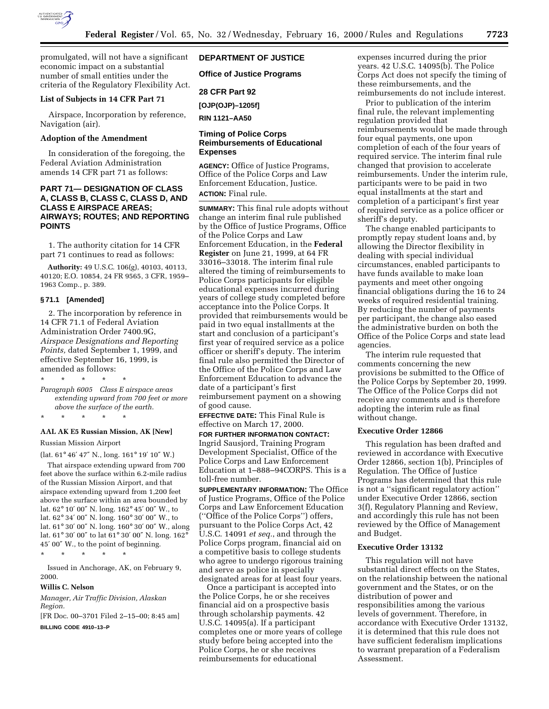

promulgated, will not have a significant economic impact on a substantial number of small entities under the criteria of the Regulatory Flexibility Act.

#### **List of Subjects in 14 CFR Part 71**

Airspace, Incorporation by reference, Navigation (air).

### **Adoption of the Amendment**

In consideration of the foregoing, the Federal Aviation Administration amends 14 CFR part 71 as follows:

## **PART 71— DESIGNATION OF CLASS A, CLASS B, CLASS C, CLASS D, AND CLASS E AIRSPACE AREAS; AIRWAYS; ROUTES; AND REPORTING POINTS**

1. The authority citation for 14 CFR part 71 continues to read as follows:

**Authority:** 49 U.S.C. 106(g), 40103, 40113, 40120; E.O. 10854, 24 FR 9565, 3 CFR, 1959– 1963 Comp., p. 389.

### **§ 71.1 [Amended]**

2. The incorporation by reference in 14 CFR 71.1 of Federal Aviation Administration Order 7400.9G, *Airspace Designations and Reporting Points,* dated September 1, 1999, and effective September 16, 1999, is amended as follows:

\* \* \* \* \* *Paragraph 6005 Class E airspace areas extending upward from 700 feet or more above the surface of the earth*.

#### **AAL AK E5 Russian Mission, AK [New]**

Russian Mission Airport

\* \* \* \* \*

(lat. 61° 46′ 47″ N., long. 161° 19′ 10″ W.)

That airspace extending upward from 700 feet above the surface within 6.2-mile radius of the Russian Mission Airport, and that airspace extending upward from 1,200 feet above the surface within an area bounded by lat. 62° 10′ 00″ N. long. 162° 45′ 00″ W., to lat. 62° 34′ 00″ N. long. 160° 30′ 00″ W., to lat. 61° 30′ 00″ N. long. 160° 30′ 00″ W., along lat. 61° 30′ 00″ to lat 61° 30′ 00″ N. long. 162° 45′ 00″ W., to the point of beginning.

\* \* \* \* \*

Issued in Anchorage, AK, on February 9, 2000.

#### **Willis C. Nelson**

*Manager, Air Traffic Division, Alaskan Region.*

[FR Doc. 00–3701 Filed 2–15–00; 8:45 am] **BILLING CODE 4910–13–P**

**DEPARTMENT OF JUSTICE**

**Office of Justice Programs**

### **28 CFR Part 92**

**[OJP(OJP)–1205f]**

**RIN 1121–AA50**

### **Timing of Police Corps Reimbursements of Educational Expenses**

**AGENCY:** Office of Justice Programs, Office of the Police Corps and Law Enforcement Education, Justice. **ACTION:** Final rule.

**SUMMARY:** This final rule adopts without change an interim final rule published by the Office of Justice Programs, Office of the Police Corps and Law Enforcement Education, in the **Federal Register** on June 21, 1999, at 64 FR 33016–33018. The interim final rule altered the timing of reimbursements to Police Corps participants for eligible educational expenses incurred during years of college study completed before acceptance into the Police Corps. It provided that reimbursements would be paid in two equal installments at the start and conclusion of a participant's first year of required service as a police officer or sheriff's deputy. The interim final rule also permitted the Director of the Office of the Police Corps and Law Enforcement Education to advance the date of a participant's first reimbursement payment on a showing of good cause.

**EFFECTIVE DATE:** This Final Rule is effective on March 17, 2000.

**FOR FURTHER INFORMATION CONTACT:** Ingrid Sausjord, Training Program

Development Specialist, Office of the Police Corps and Law Enforcement Education at 1–888–94CORPS. This is a toll-free number.

**SUPPLEMENTARY INFORMATION:** The Office of Justice Programs, Office of the Police Corps and Law Enforcement Education (''Office of the Police Corps'') offers, pursuant to the Police Corps Act, 42 U.S.C. 14091 *et seq.*, and through the Police Corps program, financial aid on a competitive basis to college students who agree to undergo rigorous training and serve as police in specially designated areas for at least four years.

Once a participant is accepted into the Police Corps, he or she receives financial aid on a prospective basis through scholarship payments. 42 U.S.C. 14095(a). If a participant completes one or more years of college study before being accepted into the Police Corps, he or she receives reimbursements for educational

expenses incurred during the prior years. 42 U.S.C. 14095(b). The Police Corps Act does not specify the timing of these reimbursements, and the reimbursements do not include interest.

Prior to publication of the interim final rule, the relevant implementing regulation provided that reimbursements would be made through four equal payments, one upon completion of each of the four years of required service. The interim final rule changed that provision to accelerate reimbursements. Under the interim rule, participants were to be paid in two equal installments at the start and completion of a participant's first year of required service as a police officer or sheriff's deputy.

The change enabled participants to promptly repay student loans and, by allowing the Director flexibility in dealing with special individual circumstances, enabled participants to have funds available to make loan payments and meet other ongoing financial obligations during the 16 to 24 weeks of required residential training. By reducing the number of payments per participant, the change also eased the administrative burden on both the Office of the Police Corps and state lead agencies.

The interim rule requested that comments concerning the new provisions be submitted to the Office of the Police Corps by September 20, 1999. The Office of the Police Corps did not receive any comments and is therefore adopting the interim rule as final without change.

#### **Executive Order 12866**

This regulation has been drafted and reviewed in accordance with Executive Order 12866, section 1(b), Principles of Regulation. The Office of Justice Programs has determined that this rule is not a ''significant regulatory action'' under Executive Order 12866, section 3(f), Regulatory Planning and Review, and accordingly this rule has not been reviewed by the Office of Management and Budget.

#### **Executive Order 13132**

This regulation will not have substantial direct effects on the States, on the relationship between the national government and the States, or on the distribution of power and responsibilities among the various levels of government. Therefore, in accordance with Executive Order 13132, it is determined that this rule does not have sufficient federalism implications to warrant preparation of a Federalism Assessment.